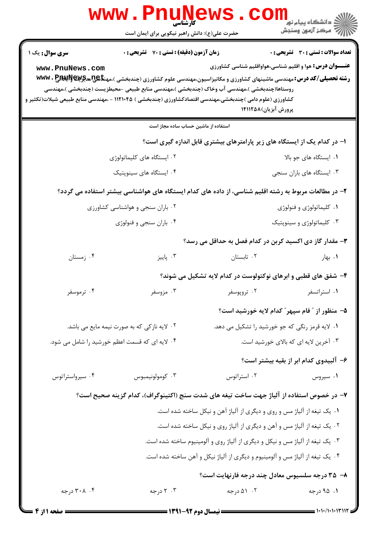| سری سوال: یک ۱<br><b>زمان آزمون (دقیقه) : تستی : 70 ٪ تشریحی : 0</b>                                                                                                                                                          |                                                                |
|-------------------------------------------------------------------------------------------------------------------------------------------------------------------------------------------------------------------------------|----------------------------------------------------------------|
|                                                                                                                                                                                                                               | <b>تعداد سوالات : تستی : 30 - تشریحی : 0</b>                   |
| www.PnuNews.com<br><b>رشته تحصیلی/کد درس:</b> مهندسی ماشینهای کشاورزی و مکانیزاسیون،مهندسی علوم کشاورزی (چندبخشی )،مهن <del>تا @U</del> NG و WWW . P                                                                          | <b>عنـــوان درس:</b> هوا و اقلیم شناسی،هواواقلیم شناسی کشاورزی |
| روستاها(چندبخشی )،مهندسی آب وخاک (چندبخشی )،مهندسی منابع طبیعی -محیطزیست (چندبخشی )،مهندسی<br>کشاورزی (علوم دامی )چندبخشی،مهندسی اقتصادکشاورزی (چندبخشی ) ۱۱۲۱۰۴۵ - ،مهندسی منابع طبیعی شیلات(تکثیر و<br>پرورش آبزیان)۱۴۱۱۲۵۸ |                                                                |
| استفاده از ماشین حساب ساده مجاز است                                                                                                                                                                                           |                                                                |
| ا- در کدام یک از ایستگاه های زیر پارامترهای بیشتری قابل اندازه گیری است؟                                                                                                                                                      |                                                                |
| ۰۲ ایستگاه های کلیماتولوژی                                                                                                                                                                                                    | ٠١. ايستگاه هاى جو بالا                                        |
| ۰۴ ایستگاه های سینوپتیک                                                                                                                                                                                                       | ۰۳ ایستگاه های باران سنجی                                      |
| ۲- در مطالعات مربوط به رشته اقلیم شناسی، از داده های کدام ایستگاه های هواشناسی بیشتر استفاده می گردد؟                                                                                                                         |                                                                |
| ۰۲ باران سنجی و هواشناسی کشاورزی                                                                                                                                                                                              | ۰۱ کلیماتولوژی و فنولوژی                                       |
| ۰۴ باران سنجي و فنولوژي                                                                                                                                                                                                       | ۰۳ کلیماتولوژی و سینوپتیک                                      |
| ۳- مقدار گاز دی اکسید کربن در کدام فصل به حداقل می رسد؟                                                                                                                                                                       |                                                                |
| ۰۴ زمستان<br>۰۳ پاییز<br>۰۲ تابستان                                                                                                                                                                                           | ۰۱ بهار                                                        |
| ۴- شفق های قطبی و ابرهای نوکتولوست در کدام لایه تشکیل می شوند؟                                                                                                                                                                |                                                                |
| ۰۴ ترموسفر<br>۰۲ تروپوسفر<br>۰۳ مزوسفر                                                                                                                                                                                        | ٠١. استراتسفر                                                  |
| ۵– منظور از " فام سپهر " کدام لایه خورشید است؟                                                                                                                                                                                |                                                                |
| ۰۱ لایه قرمز رنگی که جو خورشید را تشکیل می دهد.<br>۲. لایه نازکی که به صورت نیمه مایع می باشد.                                                                                                                                |                                                                |
| ۰۴ لایه ای که قسمت اعظم خورشید را شامل می شود.                                                                                                                                                                                | ۰۳ آخرین لایه ای که بالای خورشید است.                          |
|                                                                                                                                                                                                                               | ۶– آلبیدوی کدام ابر از بقیه بیشتر است؟                         |
| ۰۳ كومولونيمبوس<br>۰۴ سیرواستراتوس<br>۰۲ استراتوس                                                                                                                                                                             | ۰۱ سیروس                                                       |
| ۷– در خصوص استفاده از آلیاژ جهت ساخت تیغه های شدت سنج (اکتینوگراف)، کدام گزینه صحیح است؟                                                                                                                                      |                                                                |
| ۰۱ یک تیغه از آلیاژ مس و روی و دیگری از آلیاژ آهن و نیکل ساخته شده است.                                                                                                                                                       |                                                                |
| ۲. یک تیغه از آلیاژ مس و آهن و دیگری از آلیاژ روی و نیکل ساخته شده است.                                                                                                                                                       |                                                                |
| ۰۳ یک تیغه از آلیاژ مس و نیکل و دیگری از آلیاژ روی و آلومینیوم ساخته شده است.                                                                                                                                                 |                                                                |
| ۰۴ یک تیغه از آلیاژ مس و آلومینیوم و دیگری از آلیاژ نیکل و آهن ساخته شده است.                                                                                                                                                 |                                                                |
| ۸– ۳۵ درجه سلسیوس معادل چند درجه فارنهایت است؟                                                                                                                                                                                |                                                                |
| ۰۲ ۵۱ درجه<br>۰۴ ۲۰۸ درجه<br>۰۳ درجه                                                                                                                                                                                          | ۰۱ ۹۵ درجه                                                     |

 $= 1.1 \cdot 11.1 \cdot 11.1$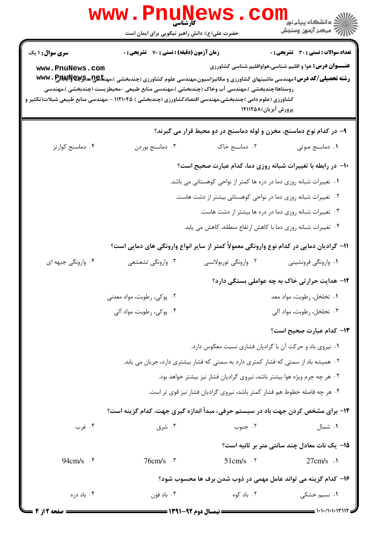|                                    | <b>www.PnuNews</b><br>كآرشناسي                                                                                                                                                                                                                                                                 |                                                                                     |                                                                                                                |
|------------------------------------|------------------------------------------------------------------------------------------------------------------------------------------------------------------------------------------------------------------------------------------------------------------------------------------------|-------------------------------------------------------------------------------------|----------------------------------------------------------------------------------------------------------------|
|                                    | حضرت علی(ع): دانش راهبر نیکویی برای ایمان است                                                                                                                                                                                                                                                  |                                                                                     |                                                                                                                |
| سری سوال : ۱ یک<br>www.PnuNews.com | <b>زمان آزمون (دقیقه) : تستی : 70 ٪ تشریحی : 0</b><br><b>رشته تحصیلی/کد درس:</b> مهندسی ماشینهای کشاورزی و مکانیزاسیون،مهندسی علوم کشاورزی (چندبخشی )،مهن <del>تا U</del> S&چیهچیپهکاپالا با www<br>روستاها(چندبخشی )،مهندسی آب وخاک (چندبخشی )،مهندسی منابع طبیعی -محیطزیست (چندبخشی )،مهندسی |                                                                                     | <b>تعداد سوالات : تستی : 30 ٪ تشریحی : 0</b><br><b>عنـــوان درس:</b> هوا و اقلیم شناسی،هواواقلیم شناسی کشاورزی |
|                                    | کشاورزی (علوم دامی )چندبخشی،مهندسی اقتصادکشاورزی (چندبخشی ) ۱۱۲۱۰۴۵ - ،مهندسی منابع طبیعی شیلات(تکثیر و                                                                                                                                                                                        | پرورش آبزیان)۱۴۱۱۲۵۸                                                                |                                                                                                                |
|                                    |                                                                                                                                                                                                                                                                                                | ۹- در کدام نوع دماسنج، مخزن و لوله دماسنج در دو محیط قرار می گیرند؟                 |                                                                                                                |
| ۰۴ دماسنج کوارتز                   | ۰۳ دماسنج بوردن                                                                                                                                                                                                                                                                                | ۰۲ دماسنج خاک                                                                       | ٠١ دماسنج صوتى                                                                                                 |
|                                    |                                                                                                                                                                                                                                                                                                | ۱۰- در رابطه با تغییرات شبانه روزی دما، کدام عبارت صحیح است؟                        |                                                                                                                |
|                                    |                                                                                                                                                                                                                                                                                                | ۰۱ تغییرات شبانه روزی دما در دره ها کمتر از نواحی کوهستانی می باشد.                 |                                                                                                                |
|                                    |                                                                                                                                                                                                                                                                                                | ۰۲ تغییرات شبانه روزی دما در نواحی کوهستانی بیشتر از دشت هاست.                      |                                                                                                                |
|                                    |                                                                                                                                                                                                                                                                                                | ۰۳ تغییرات شبانه روزی دما در دره ها بیشتر از دشت هاست.                              |                                                                                                                |
|                                    |                                                                                                                                                                                                                                                                                                | ۰۴ تغییرات شبانه روزی دما با کاهش ارتفاع منطقه، کاهش می یابد.                       |                                                                                                                |
|                                    | 1۱– گرادیان دمایی در کدام نوع وارونگی معمولاً کمتر از سایر انواع وارونگی های دمایی است؟                                                                                                                                                                                                        |                                                                                     |                                                                                                                |
| ۰۴ وارونگی جبهه ای                 | ۰۳ وارونگي تشعشعي                                                                                                                                                                                                                                                                              | ۰۲ وارونگی توربولانسی                                                               | ۰۱ وارونگی فرونشینی                                                                                            |
|                                    |                                                                                                                                                                                                                                                                                                |                                                                                     | ۱۲- هدایت حرار تی خاک به چه عواملی بستگی دارد؟                                                                 |
|                                    | ۰۲ پوکی، رطوبت، مواد معدنی                                                                                                                                                                                                                                                                     |                                                                                     | ٠١ تخلخل، رطوبت، مواد معد                                                                                      |
|                                    | ۰۴ پوکی، رطوبت، مواد آلی                                                                                                                                                                                                                                                                       |                                                                                     | ۰۳ تخلخل، رطوبت، مواد آلي                                                                                      |
|                                    |                                                                                                                                                                                                                                                                                                |                                                                                     | <b>۱۳</b> - کدام عبارت صحیح است؟                                                                               |
|                                    |                                                                                                                                                                                                                                                                                                | ٠١ نيروي باد و حركت آن با گراديان فشاري نسبت معكوس دارد.                            |                                                                                                                |
|                                    |                                                                                                                                                                                                                                                                                                | ۰۲ همیشه باد از سمتی که فشار کمتری دارد به سمتی که فشار بیشتری دارد، جریان می یابد. |                                                                                                                |
|                                    |                                                                                                                                                                                                                                                                                                | ۰۳ هر چه جرم ویژه هوا بیشتر باشد، نیروی گرادیان فشار نیز بیشتر خواهد بود.           |                                                                                                                |
|                                    |                                                                                                                                                                                                                                                                                                | ۰۴ هر چه فاصله خطوط هم فشار كمتر باشد، نيروى گراديان فشار نيز قوى تر است.           |                                                                                                                |
|                                    | ۱۴- برای مشخص کردن جهت باد در سیستم حرفی، مبدأ اندازه گیری جهت، کدام گزینه است؟                                                                                                                                                                                                                |                                                                                     |                                                                                                                |
| ۰۴ غرب                             | ۰۳ شرق                                                                                                                                                                                                                                                                                         | ۰۲ جنوب                                                                             | ۰۱ شمال                                                                                                        |
|                                    |                                                                                                                                                                                                                                                                                                |                                                                                     | 15- یک نات معادل چند سانتی متر بر ثانیه است؟                                                                   |
| 94cm/s $\cdot$ $\cdot$             | $76 \text{cm/s}$ .                                                                                                                                                                                                                                                                             | $51 \text{cm/s}$ . $\text{V}$                                                       | $27 \text{cm/s}$ .                                                                                             |
|                                    |                                                                                                                                                                                                                                                                                                | ۱۶– کدام گزینه می تواند عامل مهمی در ذوب شدن برف ها محسوب شود؟                      |                                                                                                                |
| ۰۴ باد دره                         | ۰۳ باد فون                                                                                                                                                                                                                                                                                     | ۰۲ باد کوه                                                                          | ۰۱ نسی <sub>م</sub> خشکی                                                                                       |
| = صفحه 2 از 4                      |                                                                                                                                                                                                                                                                                                | ـــــــــــــ نیمسال دوم ۹۲-۱۳۹۱ ــــــــ                                           | $=$ $\frac{1}{1}$ $\frac{1}{1}$                                                                                |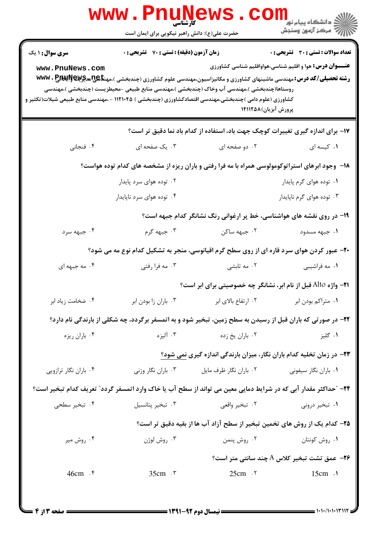| <b>www.PnuNews</b>                                             |                                                                                                  |                                                                                                                                                                                                                                                                                                                                            |                       |  |
|----------------------------------------------------------------|--------------------------------------------------------------------------------------------------|--------------------------------------------------------------------------------------------------------------------------------------------------------------------------------------------------------------------------------------------------------------------------------------------------------------------------------------------|-----------------------|--|
|                                                                |                                                                                                  | حضرت علی(ع): دانش راهبر نیکویی برای ایمان است                                                                                                                                                                                                                                                                                              |                       |  |
| تعداد سوالات : تستي : 30 ٪ تشريحي : 0                          |                                                                                                  | <b>زمان آزمون (دقیقه) : تستی : 70 قشریحی : 0</b>                                                                                                                                                                                                                                                                                           | سری سوال: ۱ یک        |  |
| <b>عنـــوان درس:</b> هوا و اقلیم شناسی،هواواقلیم شناسی کشاورزی |                                                                                                  | <b>رشته تحصیلی/کد درس: م</b> هندسی ماشینهای کشاورزی و مکانیزاسیون،مهندسی علوم کشاورزی (چندبخشی )،مهن <b>تای پیچچ بینچ www . P</b><br>روستاها(چندبخشی )،مهندسی آب وخاک (چندبخشی )،مهندسی منابع طبیعی –محیطزیست (چندبخشی )،مهندسی<br>کشاورزی (علوم دامی )چندبخشی،مهندسی اقتصادکشاورزی (چندبخشی ) ۱۱۲۱۰۴۵ - ،مهندسی منابع طبیعی شیلات(تکثیر و | www.PnuNews.com       |  |
|                                                                | پرورش آبزیان)۱۴۱۱۲۵۸                                                                             |                                                                                                                                                                                                                                                                                                                                            |                       |  |
| ٠١. کیسه ای                                                    | ۱۷- برای اندازه گیری تغییرات کوچک جهت باد، استفاده از کدام باد نما دقیق تر است؟<br>۰۲ دو صفحه ای | ۰۳ یک صفحه ای                                                                                                                                                                                                                                                                                                                              | ۰۴ فنجاني             |  |
|                                                                |                                                                                                  | ۱۸- وجود ابرهای استراتوکومولوسی همراه با مه فرا رفتی و باران ریزه از مشخصه های کدام توده هواست؟                                                                                                                                                                                                                                            |                       |  |
| ۰۱ توده هوای گرم پایدار                                        |                                                                                                  | ۰۲ توده هوای سرد پایدار                                                                                                                                                                                                                                                                                                                    |                       |  |
| ۰۳ توده هوای گرم ناپایدار                                      |                                                                                                  | ۰۴ توده هوای سرد ناپایدار                                                                                                                                                                                                                                                                                                                  |                       |  |
|                                                                | ۱۹- در روی نقشه های هواشناسی، خط پر ارغوانی رنگ نشانگر کدام جبهه است؟                            |                                                                                                                                                                                                                                                                                                                                            |                       |  |
| ۰۱ جبهه مسدود                                                  | ۰۲ جبهه ساکن                                                                                     | ۰۳ جبهه گرم                                                                                                                                                                                                                                                                                                                                | ۰۴ جبهه سرد           |  |
|                                                                |                                                                                                  | ۲۰- عبور کردن هوای سرد قاره ای از روی سطح گرم اقیانوسی، منجر به تشکیل کدام نوع مه می شود؟                                                                                                                                                                                                                                                  |                       |  |
| ۰۱ مه فراشیبی                                                  | ۰۲ مه تابشی                                                                                      | ۰۳ مه فرا رفتي                                                                                                                                                                                                                                                                                                                             | ۰۴ مه جبهه ای         |  |
|                                                                | <b>۲۱</b> - واژه Alto قبل از نام ابر، نشانگر چه خصوصیتی برای ابر است؟                            |                                                                                                                                                                                                                                                                                                                                            |                       |  |
| ۰۱ متراکم بودن ابر                                             | ۰۲ ارتفاع بالای ابر                                                                              | ۰۳ باران زا بودن ابر                                                                                                                                                                                                                                                                                                                       | ۰۴ ضخامت زياد ابر     |  |
|                                                                |                                                                                                  | ۲۲- در صورتی که باران قبل از رسیدن به سطح زمین، تبخیر شود و به اتمسفر برگردد، چه شکلی از بارندگی نام دارد؟                                                                                                                                                                                                                                 |                       |  |
| ۰۱ گليز                                                        | ۰۲ باران يخ زده                                                                                  | ۰۳ آلیزه                                                                                                                                                                                                                                                                                                                                   | ۰۴ باران ريزه         |  |
|                                                                | ۲۳– در زمان تخلیه کدام باران نگار، میزان بارندگی اندازه گیری نمی شود؟                            |                                                                                                                                                                                                                                                                                                                                            |                       |  |
| ۰۱ باران نگار سیفونی                                           | ۰۲ باران نگار ظرف مايل                                                                           | ۰۳ باران نگار وزنی                                                                                                                                                                                                                                                                                                                         | ۰۴ باران نگار ترازویی |  |
|                                                                |                                                                                                  | ۲۴– "حداکثر مقدار آبی که در شرایط دمایی معین می تواند از سطح آب یا خاک وارد اتمسفر گردد" تعریف کدام تبخیر است؟                                                                                                                                                                                                                             |                       |  |
| ۰۱ تبخیر درونی                                                 | ۰۲ تبخیر واقعی                                                                                   | ۰۳ تبخیر پتانسیل                                                                                                                                                                                                                                                                                                                           | ۰۴ تبخیر سطحی         |  |
|                                                                | ۲۵– کدام یک از روش های تخمین تبخیر از سطح آزاد آب ها از بقیه دقیق تر است؟                        |                                                                                                                                                                                                                                                                                                                                            |                       |  |
| ۰۱ روش کونتان                                                  | ۰۲ روش پنمن                                                                                      | ۰۳ روش لوژن                                                                                                                                                                                                                                                                                                                                | ۰۴ روش میر            |  |
|                                                                |                                                                                                  |                                                                                                                                                                                                                                                                                                                                            |                       |  |
| $15cm$ $\cdot$                                                 | $25cm$ $\cdot$ $\cdot$                                                                           | $35cm \cdot r$                                                                                                                                                                                                                                                                                                                             | 46cm . r              |  |